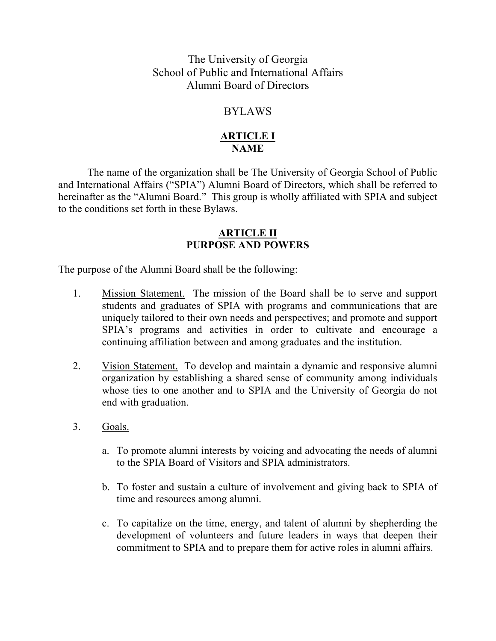The University of Georgia School of Public and International Affairs Alumni Board of Directors

# BYLAWS

# **ARTICLE I NAME**

The name of the organization shall be The University of Georgia School of Public and International Affairs ("SPIA") Alumni Board of Directors, which shall be referred to hereinafter as the "Alumni Board." This group is wholly affiliated with SPIA and subject to the conditions set forth in these Bylaws.

## **ARTICLE II PURPOSE AND POWERS**

The purpose of the Alumni Board shall be the following:

- 1. Mission Statement. The mission of the Board shall be to serve and support students and graduates of SPIA with programs and communications that are uniquely tailored to their own needs and perspectives; and promote and support SPIA's programs and activities in order to cultivate and encourage a continuing affiliation between and among graduates and the institution.
- 2. Vision Statement. To develop and maintain a dynamic and responsive alumni organization by establishing a shared sense of community among individuals whose ties to one another and to SPIA and the University of Georgia do not end with graduation.
- 3. Goals.
	- a. To promote alumni interests by voicing and advocating the needs of alumni to the SPIA Board of Visitors and SPIA administrators.
	- b. To foster and sustain a culture of involvement and giving back to SPIA of time and resources among alumni.
	- c. To capitalize on the time, energy, and talent of alumni by shepherding the development of volunteers and future leaders in ways that deepen their commitment to SPIA and to prepare them for active roles in alumni affairs.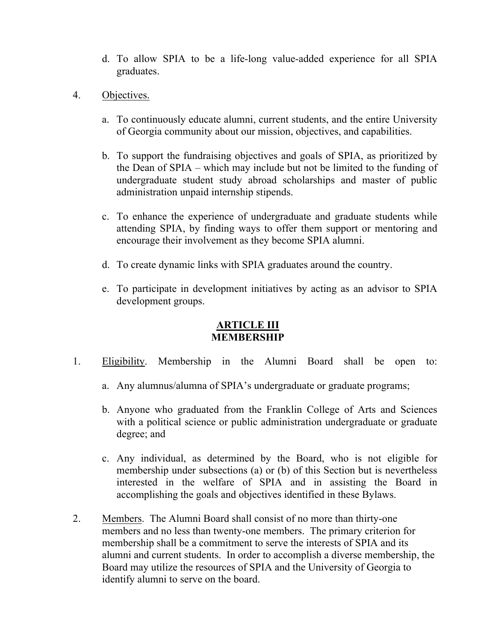- d. To allow SPIA to be a life-long value-added experience for all SPIA graduates.
- 4. Objectives.
	- a. To continuously educate alumni, current students, and the entire University of Georgia community about our mission, objectives, and capabilities.
	- b. To support the fundraising objectives and goals of SPIA, as prioritized by the Dean of SPIA – which may include but not be limited to the funding of undergraduate student study abroad scholarships and master of public administration unpaid internship stipends.
	- c. To enhance the experience of undergraduate and graduate students while attending SPIA, by finding ways to offer them support or mentoring and encourage their involvement as they become SPIA alumni.
	- d. To create dynamic links with SPIA graduates around the country.
	- e. To participate in development initiatives by acting as an advisor to SPIA development groups.

# **ARTICLE III MEMBERSHIP**

- 1. Eligibility. Membership in the Alumni Board shall be open to:
	- a. Any alumnus/alumna of SPIA's undergraduate or graduate programs;
	- b. Anyone who graduated from the Franklin College of Arts and Sciences with a political science or public administration undergraduate or graduate degree; and
	- c. Any individual, as determined by the Board, who is not eligible for membership under subsections (a) or (b) of this Section but is nevertheless interested in the welfare of SPIA and in assisting the Board in accomplishing the goals and objectives identified in these Bylaws.
- 2. Members. The Alumni Board shall consist of no more than thirty-one members and no less than twenty-one members. The primary criterion for membership shall be a commitment to serve the interests of SPIA and its alumni and current students. In order to accomplish a diverse membership, the Board may utilize the resources of SPIA and the University of Georgia to identify alumni to serve on the board.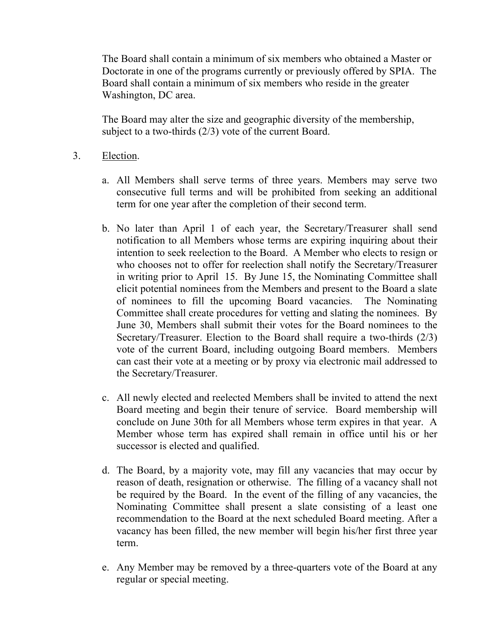The Board shall contain a minimum of six members who obtained a Master or Doctorate in one of the programs currently or previously offered by SPIA. The Board shall contain a minimum of six members who reside in the greater Washington, DC area.

The Board may alter the size and geographic diversity of the membership, subject to a two-thirds (2/3) vote of the current Board.

- 3. Election.
	- a. All Members shall serve terms of three years. Members may serve two consecutive full terms and will be prohibited from seeking an additional term for one year after the completion of their second term.
	- b. No later than April 1 of each year, the Secretary/Treasurer shall send notification to all Members whose terms are expiring inquiring about their intention to seek reelection to the Board. A Member who elects to resign or who chooses not to offer for reelection shall notify the Secretary/Treasurer in writing prior to April 15. By June 15, the Nominating Committee shall elicit potential nominees from the Members and present to the Board a slate of nominees to fill the upcoming Board vacancies. The Nominating Committee shall create procedures for vetting and slating the nominees. By June 30, Members shall submit their votes for the Board nominees to the Secretary/Treasurer. Election to the Board shall require a two-thirds (2/3) vote of the current Board, including outgoing Board members. Members can cast their vote at a meeting or by proxy via electronic mail addressed to the Secretary/Treasurer.
	- c. All newly elected and reelected Members shall be invited to attend the next Board meeting and begin their tenure of service. Board membership will conclude on June 30th for all Members whose term expires in that year. A Member whose term has expired shall remain in office until his or her successor is elected and qualified.
	- d. The Board, by a majority vote, may fill any vacancies that may occur by reason of death, resignation or otherwise. The filling of a vacancy shall not be required by the Board. In the event of the filling of any vacancies, the Nominating Committee shall present a slate consisting of a least one recommendation to the Board at the next scheduled Board meeting. After a vacancy has been filled, the new member will begin his/her first three year term.
	- e. Any Member may be removed by a three-quarters vote of the Board at any regular or special meeting.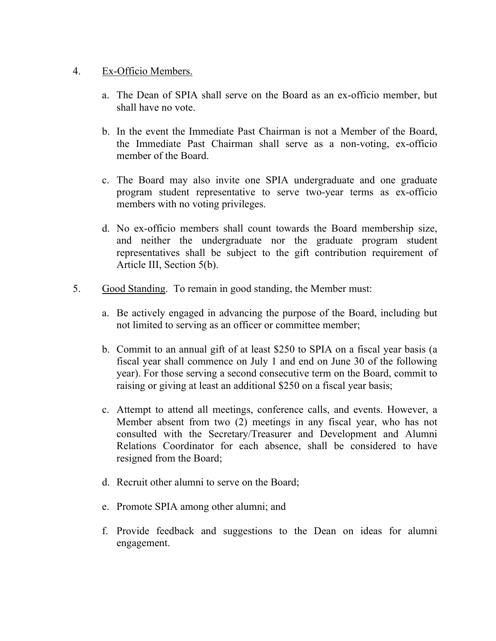#### 4. Ex-Officio Members.

- a. The Dean of SPIA shall serve on the Board as an ex-officio member, but shall have no vote.
- b. In the event the Immediate Past Chairman is not a Member of the Board, the Immediate Past Chairman shall serve as a non-voting, ex-officio member of the Board.
- c. The Board may also invite one SPIA undergraduate and one graduate program student representative to serve two-year terms as ex-officio members with no voting privileges.
- d. No ex-officio members shall count towards the Board membership size, and neither the undergraduate nor the graduate program student representatives shall be subject to the gift contribution requirement of Article III, Section 5(b).
- 5. Good Standing. To remain in good standing, the Member must:
	- a. Be actively engaged in advancing the purpose of the Board, including but not limited to serving as an officer or committee member;
	- b. Commit to an annual gift of at least \$250 to SPIA on a fiscal year basis (a fiscal year shall commence on July 1 and end on June 30 of the following year). For those serving a second consecutive term on the Board, commit to raising or giving at least an additional \$250 on a fiscal year basis;
	- c. Attempt to attend all meetings, conference calls, and events. However, a Member absent from two (2) meetings in any fiscal year, who has not consulted with the Secretary/Treasurer and Development and Alumni Relations Coordinator for each absence, shall be considered to have resigned from the Board;
	- d. Recruit other alumni to serve on the Board;
	- e. Promote SPIA among other alumni; and
	- f. Provide feedback and suggestions to the Dean on ideas for alumni engagement.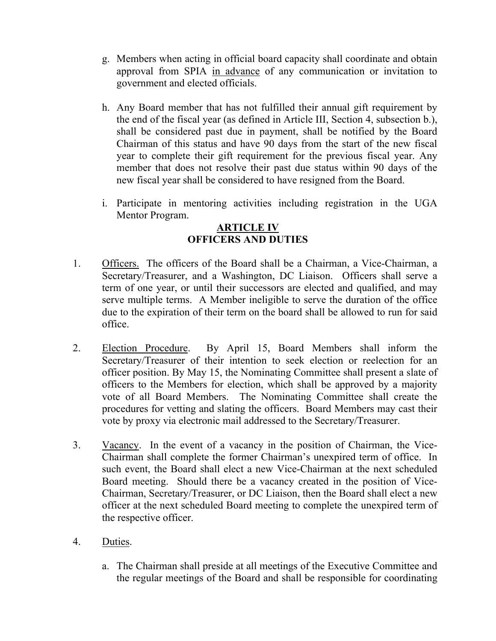- g. Members when acting in official board capacity shall coordinate and obtain approval from SPIA in advance of any communication or invitation to government and elected officials.
- h. Any Board member that has not fulfilled their annual gift requirement by the end of the fiscal year (as defined in Article III, Section 4, subsection b.), shall be considered past due in payment, shall be notified by the Board Chairman of this status and have 90 days from the start of the new fiscal year to complete their gift requirement for the previous fiscal year. Any member that does not resolve their past due status within 90 days of the new fiscal year shall be considered to have resigned from the Board.
- i. Participate in mentoring activities including registration in the UGA Mentor Program.

### **ARTICLE IV OFFICERS AND DUTIES**

- 1. Officers. The officers of the Board shall be a Chairman, a Vice-Chairman, a Secretary/Treasurer, and a Washington, DC Liaison. Officers shall serve a term of one year, or until their successors are elected and qualified, and may serve multiple terms. A Member ineligible to serve the duration of the office due to the expiration of their term on the board shall be allowed to run for said office.
- 2. Election Procedure. By April 15, Board Members shall inform the Secretary/Treasurer of their intention to seek election or reelection for an officer position. By May 15, the Nominating Committee shall present a slate of officers to the Members for election, which shall be approved by a majority vote of all Board Members. The Nominating Committee shall create the procedures for vetting and slating the officers. Board Members may cast their vote by proxy via electronic mail addressed to the Secretary/Treasurer.
- 3. Vacancy. In the event of a vacancy in the position of Chairman, the Vice-Chairman shall complete the former Chairman's unexpired term of office. In such event, the Board shall elect a new Vice-Chairman at the next scheduled Board meeting. Should there be a vacancy created in the position of Vice-Chairman, Secretary/Treasurer, or DC Liaison, then the Board shall elect a new officer at the next scheduled Board meeting to complete the unexpired term of the respective officer.
- 4. Duties.
	- a. The Chairman shall preside at all meetings of the Executive Committee and the regular meetings of the Board and shall be responsible for coordinating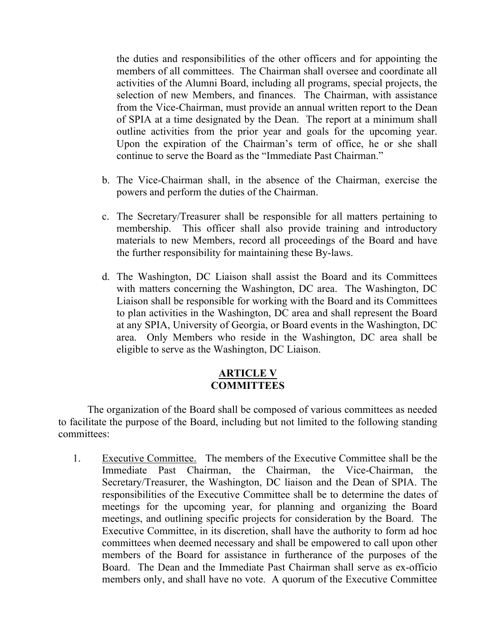the duties and responsibilities of the other officers and for appointing the members of all committees. The Chairman shall oversee and coordinate all activities of the Alumni Board, including all programs, special projects, the selection of new Members, and finances. The Chairman, with assistance from the Vice-Chairman, must provide an annual written report to the Dean of SPIA at a time designated by the Dean. The report at a minimum shall outline activities from the prior year and goals for the upcoming year. Upon the expiration of the Chairman's term of office, he or she shall continue to serve the Board as the "Immediate Past Chairman."

- b. The Vice-Chairman shall, in the absence of the Chairman, exercise the powers and perform the duties of the Chairman.
- c. The Secretary/Treasurer shall be responsible for all matters pertaining to membership. This officer shall also provide training and introductory materials to new Members, record all proceedings of the Board and have the further responsibility for maintaining these By-laws.
- d. The Washington, DC Liaison shall assist the Board and its Committees with matters concerning the Washington, DC area. The Washington, DC Liaison shall be responsible for working with the Board and its Committees to plan activities in the Washington, DC area and shall represent the Board at any SPIA, University of Georgia, or Board events in the Washington, DC area. Only Members who reside in the Washington, DC area shall be eligible to serve as the Washington, DC Liaison.

## **ARTICLE V COMMITTEES**

The organization of the Board shall be composed of various committees as needed to facilitate the purpose of the Board, including but not limited to the following standing committees:

1. Executive Committee. The members of the Executive Committee shall be the Immediate Past Chairman, the Chairman, the Vice-Chairman, the Secretary/Treasurer, the Washington, DC liaison and the Dean of SPIA. The responsibilities of the Executive Committee shall be to determine the dates of meetings for the upcoming year, for planning and organizing the Board meetings, and outlining specific projects for consideration by the Board. The Executive Committee, in its discretion, shall have the authority to form ad hoc committees when deemed necessary and shall be empowered to call upon other members of the Board for assistance in furtherance of the purposes of the Board. The Dean and the Immediate Past Chairman shall serve as ex-officio members only, and shall have no vote. A quorum of the Executive Committee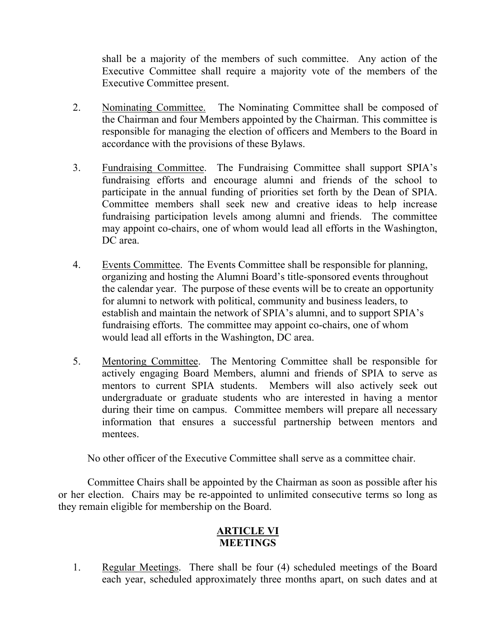shall be a majority of the members of such committee. Any action of the Executive Committee shall require a majority vote of the members of the Executive Committee present.

- 2. Nominating Committee. The Nominating Committee shall be composed of the Chairman and four Members appointed by the Chairman. This committee is responsible for managing the election of officers and Members to the Board in accordance with the provisions of these Bylaws.
- 3. Fundraising Committee. The Fundraising Committee shall support SPIA's fundraising efforts and encourage alumni and friends of the school to participate in the annual funding of priorities set forth by the Dean of SPIA. Committee members shall seek new and creative ideas to help increase fundraising participation levels among alumni and friends. The committee may appoint co-chairs, one of whom would lead all efforts in the Washington, DC area.
- 4. Events Committee. The Events Committee shall be responsible for planning, organizing and hosting the Alumni Board's title-sponsored events throughout the calendar year. The purpose of these events will be to create an opportunity for alumni to network with political, community and business leaders, to establish and maintain the network of SPIA's alumni, and to support SPIA's fundraising efforts. The committee may appoint co-chairs, one of whom would lead all efforts in the Washington, DC area.
- 5. Mentoring Committee. The Mentoring Committee shall be responsible for actively engaging Board Members, alumni and friends of SPIA to serve as mentors to current SPIA students. Members will also actively seek out undergraduate or graduate students who are interested in having a mentor during their time on campus. Committee members will prepare all necessary information that ensures a successful partnership between mentors and mentees.

No other officer of the Executive Committee shall serve as a committee chair.

Committee Chairs shall be appointed by the Chairman as soon as possible after his or her election. Chairs may be re-appointed to unlimited consecutive terms so long as they remain eligible for membership on the Board.

# **ARTICLE VI MEETINGS**

1. Regular Meetings. There shall be four (4) scheduled meetings of the Board each year, scheduled approximately three months apart, on such dates and at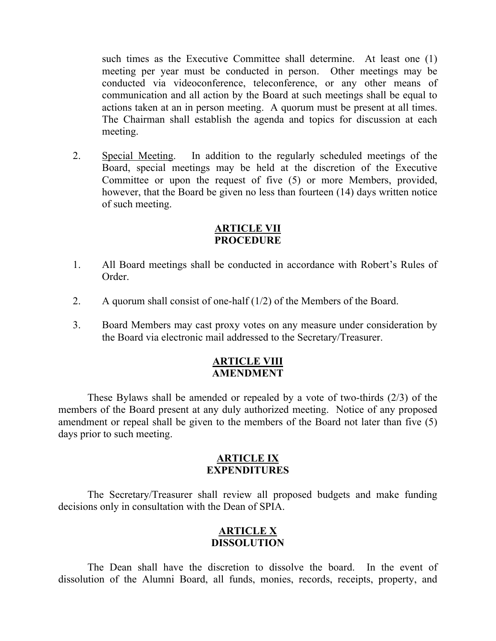such times as the Executive Committee shall determine. At least one (1) meeting per year must be conducted in person. Other meetings may be conducted via videoconference, teleconference, or any other means of communication and all action by the Board at such meetings shall be equal to actions taken at an in person meeting. A quorum must be present at all times. The Chairman shall establish the agenda and topics for discussion at each meeting.

2. Special Meeting. In addition to the regularly scheduled meetings of the Board, special meetings may be held at the discretion of the Executive Committee or upon the request of five (5) or more Members, provided, however, that the Board be given no less than fourteen (14) days written notice of such meeting.

### **ARTICLE VII PROCEDURE**

- 1. All Board meetings shall be conducted in accordance with Robert's Rules of Order.
- 2. A quorum shall consist of one-half (1/2) of the Members of the Board.
- 3. Board Members may cast proxy votes on any measure under consideration by the Board via electronic mail addressed to the Secretary/Treasurer.

## **ARTICLE VIII AMENDMENT**

These Bylaws shall be amended or repealed by a vote of two-thirds (2/3) of the members of the Board present at any duly authorized meeting. Notice of any proposed amendment or repeal shall be given to the members of the Board not later than five (5) days prior to such meeting.

#### **ARTICLE IX EXPENDITURES**

The Secretary/Treasurer shall review all proposed budgets and make funding decisions only in consultation with the Dean of SPIA.

### **ARTICLE X DISSOLUTION**

The Dean shall have the discretion to dissolve the board. In the event of dissolution of the Alumni Board, all funds, monies, records, receipts, property, and